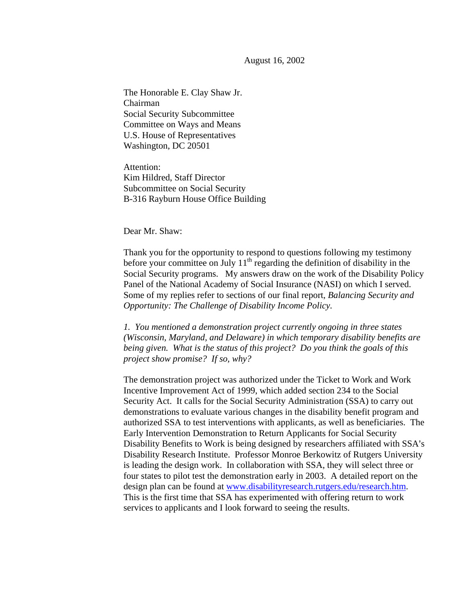August 16, 2002

The Honorable E. Clay Shaw Jr. Chairman Social Security Subcommittee Committee on Ways and Means U.S. House of Representatives Washington, DC 20501

Attention: Kim Hildred, Staff Director Subcommittee on Social Security B-316 Rayburn House Office Building

Dear Mr. Shaw:

Thank you for the opportunity to respond to questions following my testimony before your committee on July  $11<sup>th</sup>$  regarding the definition of disability in the Social Security programs. My answers draw on the work of the Disability Policy Panel of the National Academy of Social Insurance (NASI) on which I served. Some of my replies refer to sections of our final report, *Balancing Security and Opportunity: The Challenge of Disability Income Policy.* 

*1. You mentioned a demonstration project currently ongoing in three states (Wisconsin, Maryland, and Delaware) in which temporary disability benefits are being given. What is the status of this project? Do you think the goals of this project show promise? If so, why?* 

The demonstration project was authorized under the Ticket to Work and Work Incentive Improvement Act of 1999, which added section 234 to the Social Security Act. It calls for the Social Security Administration (SSA) to carry out demonstrations to evaluate various changes in the disability benefit program and authorized SSA to test interventions with applicants, as well as beneficiaries. The Early Intervention Demonstration to Return Applicants for Social Security Disability Benefits to Work is being designed by researchers affiliated with SSA's Disability Research Institute. Professor Monroe Berkowitz of Rutgers University is leading the design work. In collaboration with SSA, they will select three or four states to pilot test the demonstration early in 2003. A detailed report on the design plan can be found at www.disabilityresearch.rutgers.edu/research.htm. This is the first time that SSA has experimented with offering return to work services to applicants and I look forward to seeing the results.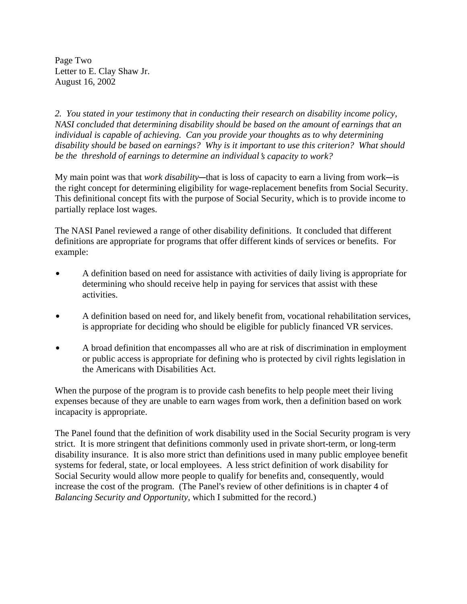Page Two Letter to E. Clay Shaw Jr. August 16, 2002

*2. You stated in your testimony that in conducting their research on disability income policy, NASI concluded that determining disability should be based on the amount of earnings that an individual is capable of achieving. Can you provide your thoughts as to why determining disability should be based on earnings? Why is it important to use this criterion? What should be the threshold of earnings to determine an individual's capacity to work?* 

My main point was that *work disability*—that is loss of capacity to earn a living from work—is the right concept for determining eligibility for wage-replacement benefits from Social Security. This definitional concept fits with the purpose of Social Security, which is to provide income to partially replace lost wages.

The NASI Panel reviewed a range of other disability definitions. It concluded that different definitions are appropriate for programs that offer different kinds of services or benefits. For example:

- A definition based on need for assistance with activities of daily living is appropriate for determining who should receive help in paying for services that assist with these activities.
- A definition based on need for, and likely benefit from, vocational rehabilitation services, is appropriate for deciding who should be eligible for publicly financed VR services.
- A broad definition that encompasses all who are at risk of discrimination in employment or public access is appropriate for defining who is protected by civil rights legislation in the Americans with Disabilities Act.

When the purpose of the program is to provide cash benefits to help people meet their living expenses because of they are unable to earn wages from work, then a definition based on work incapacity is appropriate.

The Panel found that the definition of work disability used in the Social Security program is very strict. It is more stringent that definitions commonly used in private short-term, or long-term disability insurance. It is also more strict than definitions used in many public employee benefit systems for federal, state, or local employees. A less strict definition of work disability for Social Security would allow more people to qualify for benefits and, consequently, would increase the cost of the program. (The Panel's review of other definitions is in chapter 4 of *Balancing Security and Opportunity*, which I submitted for the record.)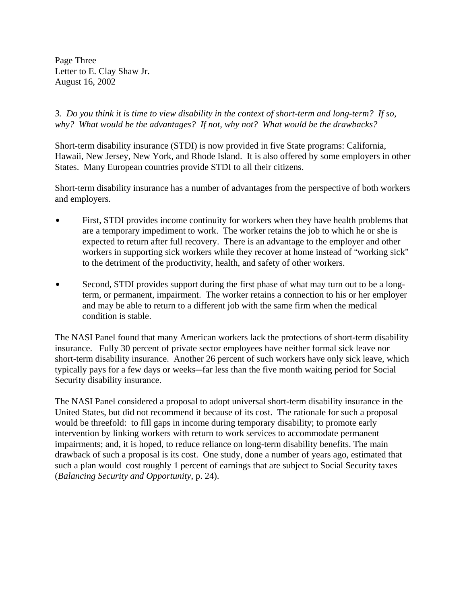Page Three Letter to E. Clay Shaw Jr. August 16, 2002

*3. Do you think it is time to view disability in the context of short-term and long-term? If so, why? What would be the advantages? If not, why not? What would be the drawbacks?* 

Short-term disability insurance (STDI) is now provided in five State programs: California, Hawaii, New Jersey, New York, and Rhode Island. It is also offered by some employers in other States. Many European countries provide STDI to all their citizens.

Short-term disability insurance has a number of advantages from the perspective of both workers and employers.

- First, STDI provides income continuity for workers when they have health problems that are a temporary impediment to work. The worker retains the job to which he or she is expected to return after full recovery. There is an advantage to the employer and other workers in supporting sick workers while they recover at home instead of "working sick" to the detriment of the productivity, health, and safety of other workers.
- Second, STDI provides support during the first phase of what may turn out to be a longterm, or permanent, impairment. The worker retains a connection to his or her employer and may be able to return to a different job with the same firm when the medical condition is stable.

The NASI Panel found that many American workers lack the protections of short-term disability insurance. Fully 30 percent of private sector employees have neither formal sick leave nor short-term disability insurance. Another 26 percent of such workers have only sick leave, which typically pays for a few days or weeks-far less than the five month waiting period for Social Security disability insurance.

The NASI Panel considered a proposal to adopt universal short-term disability insurance in the United States, but did not recommend it because of its cost. The rationale for such a proposal would be threefold: to fill gaps in income during temporary disability; to promote early intervention by linking workers with return to work services to accommodate permanent impairments; and, it is hoped, to reduce reliance on long-term disability benefits. The main drawback of such a proposal is its cost. One study, done a number of years ago, estimated that such a plan would cost roughly 1 percent of earnings that are subject to Social Security taxes (*Balancing Security and Opportunity*, p. 24).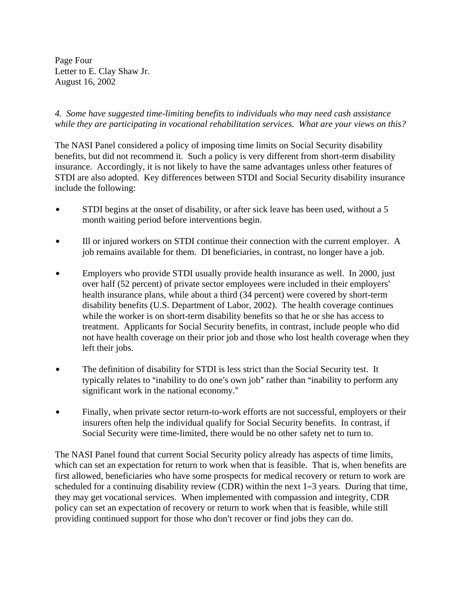Page Four Letter to E. Clay Shaw Jr. August 16, 2002

*4. Some have suggested time-limiting benefits to individuals who may need cash assistance while they are participating in vocational rehabilitation services. What are your views on this?* 

The NASI Panel considered a policy of imposing time limits on Social Security disability benefits, but did not recommend it. Such a policy is very different from short-term disability insurance. Accordingly, it is not likely to have the same advantages unless other features of STDI are also adopted. Key differences between STDI and Social Security disability insurance include the following:

- STDI begins at the onset of disability, or after sick leave has been used, without a 5 month waiting period before interventions begin.
- Ill or injured workers on STDI continue their connection with the current employer. A job remains available for them. DI beneficiaries, in contrast, no longer have a job.
- Employers who provide STDI usually provide health insurance as well. In 2000, just over half (52 percent) of private sector employees were included in their employers' health insurance plans, while about a third (34 percent) were covered by short-term disability benefits (U.S. Department of Labor, 2002). The health coverage continues while the worker is on short-term disability benefits so that he or she has access to treatment. Applicants for Social Security benefits, in contrast, include people who did not have health coverage on their prior job and those who lost health coverage when they left their jobs.
- The definition of disability for STDI is less strict than the Social Security test. It typically relates to "inability to do one's own job" rather than "inability to perform any significant work in the national economy."
- Finally, when private sector return-to-work efforts are not successful, employers or their insurers often help the individual qualify for Social Security benefits. In contrast, if Social Security were time-limited, there would be no other safety net to turn to.

The NASI Panel found that current Social Security policy already has aspects of time limits, which can set an expectation for return to work when that is feasible. That is, when benefits are first allowed, beneficiaries who have some prospects for medical recovery or return to work are scheduled for a continuing disability review (CDR) within the next  $1-3$  years. During that time, they may get vocational services. When implemented with compassion and integrity, CDR policy can set an expectation of recovery or return to work when that is feasible, while still providing continued support for those who don't recover or find jobs they can do.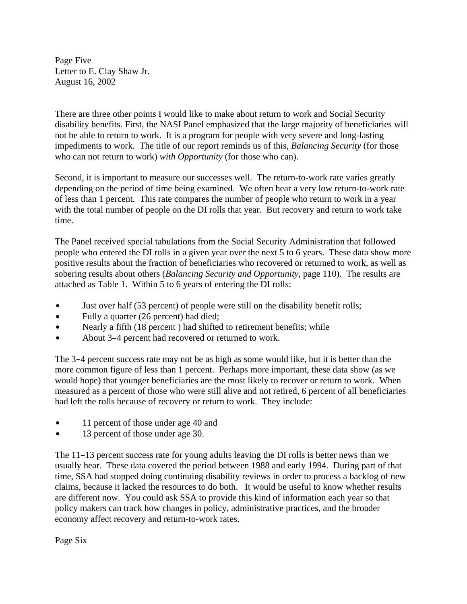Page Five Letter to E. Clay Shaw Jr. August 16, 2002

There are three other points I would like to make about return to work and Social Security disability benefits. First, the NASI Panel emphasized that the large majority of beneficiaries will not be able to return to work. It is a program for people with very severe and long-lasting impediments to work. The title of our report reminds us of this, *Balancing Security* (for those who can not return to work) *with Opportunity* (for those who can).

Second, it is important to measure our successes well. The return-to-work rate varies greatly depending on the period of time being examined. We often hear a very low return-to-work rate of less than 1 percent. This rate compares the number of people who return to work in a year with the total number of people on the DI rolls that year. But recovery and return to work take time.

The Panel received special tabulations from the Social Security Administration that followed people who entered the DI rolls in a given year over the next 5 to 6 years. These data show more positive results about the fraction of beneficiaries who recovered or returned to work, as well as sobering results about others (*Balancing Security and Opportunity*, page 110). The results are attached as Table 1. Within 5 to 6 years of entering the DI rolls:

- Just over half (53 percent) of people were still on the disability benefit rolls;
- Fully a quarter (26 percent) had died;
- Nearly a fifth (18 percent ) had shifted to retirement benefits; while
- About 3-4 percent had recovered or returned to work.

The 3–4 percent success rate may not be as high as some would like, but it is better than the more common figure of less than 1 percent. Perhaps more important, these data show (as we would hope) that younger beneficiaries are the most likely to recover or return to work. When measured as a percent of those who were still alive and not retired, 6 percent of all beneficiaries had left the rolls because of recovery or return to work. They include:

- 11 percent of those under age 40 and
- 13 percent of those under age 30.

The  $11-13$  percent success rate for young adults leaving the DI rolls is better news than we usually hear. These data covered the period between 1988 and early 1994. During part of that time, SSA had stopped doing continuing disability reviews in order to process a backlog of new claims, because it lacked the resources to do both. It would be useful to know whether results are different now. You could ask SSA to provide this kind of information each year so that policy makers can track how changes in policy, administrative practices, and the broader economy affect recovery and return-to-work rates.

Page Six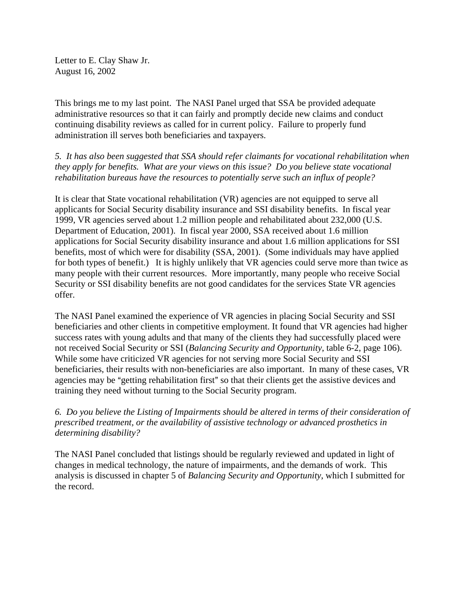Letter to E. Clay Shaw Jr. August 16, 2002

This brings me to my last point. The NASI Panel urged that SSA be provided adequate administrative resources so that it can fairly and promptly decide new claims and conduct continuing disability reviews as called for in current policy. Failure to properly fund administration ill serves both beneficiaries and taxpayers.

*5. It has also been suggested that SSA should refer claimants for vocational rehabilitation when they apply for benefits. What are your views on this issue? Do you believe state vocational rehabilitation bureaus have the resources to potentially serve such an influx of people?* 

It is clear that State vocational rehabilitation (VR) agencies are not equipped to serve all applicants for Social Security disability insurance and SSI disability benefits. In fiscal year 1999, VR agencies served about 1.2 million people and rehabilitated about 232,000 (U.S. Department of Education, 2001). In fiscal year 2000, SSA received about 1.6 million applications for Social Security disability insurance and about 1.6 million applications for SSI benefits, most of which were for disability (SSA, 2001). (Some individuals may have applied for both types of benefit.) It is highly unlikely that VR agencies could serve more than twice as many people with their current resources. More importantly, many people who receive Social Security or SSI disability benefits are not good candidates for the services State VR agencies offer.

The NASI Panel examined the experience of VR agencies in placing Social Security and SSI beneficiaries and other clients in competitive employment. It found that VR agencies had higher success rates with young adults and that many of the clients they had successfully placed were not received Social Security or SSI (*Balancing Security and Opportunity*, table 6-2, page 106). While some have criticized VR agencies for not serving more Social Security and SSI beneficiaries, their results with non-beneficiaries are also important. In many of these cases, VR agencies may be "getting rehabilitation first" so that their clients get the assistive devices and training they need without turning to the Social Security program.

*6. Do you believe the Listing of Impairments should be altered in terms of their consideration of prescribed treatment, or the availability of assistive technology or advanced prosthetics in determining disability?* 

The NASI Panel concluded that listings should be regularly reviewed and updated in light of changes in medical technology, the nature of impairments, and the demands of work. This analysis is discussed in chapter 5 of *Balancing Security and Opportunity*, which I submitted for the record.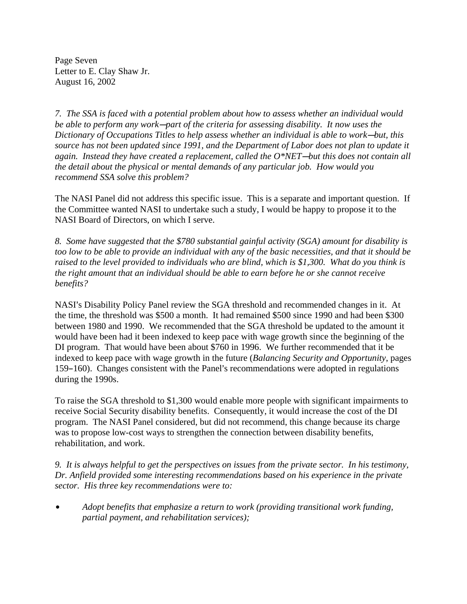Page Seven Letter to E. Clay Shaw Jr. August 16, 2002

*7. The SSA is faced with a potential problem about how to assess whether an individual would be able to perform any work—part of the criteria for assessing disability. It now uses the Dictionary of Occupations Titles to help assess whether an individual is able to work—but, this source has not been updated since 1991, and the Department of Labor does not plan to update it*  again. Instead they have created a replacement, called the O<sup>\*</sup>NET—but this does not contain all *the detail about the physical or mental demands of any particular job. How would you recommend SSA solve this problem?* 

The NASI Panel did not address this specific issue. This is a separate and important question. If the Committee wanted NASI to undertake such a study, I would be happy to propose it to the NASI Board of Directors, on which I serve.

*8. Some have suggested that the \$780 substantial gainful activity (SGA) amount for disability is too low to be able to provide an individual with any of the basic necessities, and that it should be raised to the level provided to individuals who are blind, which is \$1,300. What do you think is the right amount that an individual should be able to earn before he or she cannot receive benefits?* 

NASI's Disability Policy Panel review the SGA threshold and recommended changes in it. At the time, the threshold was \$500 a month. It had remained \$500 since 1990 and had been \$300 between 1980 and 1990. We recommended that the SGA threshold be updated to the amount it would have been had it been indexed to keep pace with wage growth since the beginning of the DI program. That would have been about \$760 in 1996. We further recommended that it be indexed to keep pace with wage growth in the future (*Balancing Security and Opportunity*, pages 159–160). Changes consistent with the Panel's recommendations were adopted in regulations during the 1990s.

To raise the SGA threshold to \$1,300 would enable more people with significant impairments to receive Social Security disability benefits. Consequently, it would increase the cost of the DI program. The NASI Panel considered, but did not recommend, this change because its charge was to propose low-cost ways to strengthen the connection between disability benefits, rehabilitation, and work.

*9. It is always helpful to get the perspectives on issues from the private sector. In his testimony, Dr. Anfield provided some interesting recommendations based on his experience in the private sector. His three key recommendations were to:* 

\$ *Adopt benefits that emphasize a return to work (providing transitional work funding, partial payment, and rehabilitation services);*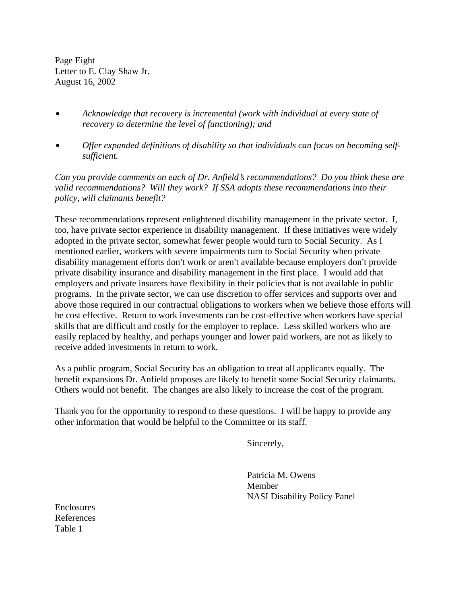Page Eight Letter to E. Clay Shaw Jr. August 16, 2002

- Acknowledge that recovery is incremental (work with individual at every state of *recovery to determine the level of functioning); and*
- **•** Offer expanded definitions of disability so that individuals can focus on becoming self*sufficient.*

*Can you provide comments on each of Dr. Anfield's recommendations? Do you think these are valid recommendations? Will they work? If SSA adopts these recommendations into their policy, will claimants benefit?* 

These recommendations represent enlightened disability management in the private sector. I, too, have private sector experience in disability management. If these initiatives were widely adopted in the private sector, somewhat fewer people would turn to Social Security. As I mentioned earlier, workers with severe impairments turn to Social Security when private disability management efforts don't work or aren't available because employers don't provide private disability insurance and disability management in the first place. I would add that employers and private insurers have flexibility in their policies that is not available in public programs. In the private sector, we can use discretion to offer services and supports over and above those required in our contractual obligations to workers when we believe those efforts will be cost effective. Return to work investments can be cost-effective when workers have special skills that are difficult and costly for the employer to replace. Less skilled workers who are easily replaced by healthy, and perhaps younger and lower paid workers, are not as likely to receive added investments in return to work.

As a public program, Social Security has an obligation to treat all applicants equally. The benefit expansions Dr. Anfield proposes are likely to benefit some Social Security claimants. Others would not benefit. The changes are also likely to increase the cost of the program.

Thank you for the opportunity to respond to these questions. I will be happy to provide any other information that would be helpful to the Committee or its staff.

Sincerely,

Patricia M. Owens Member NASI Disability Policy Panel

Enclosures References Table 1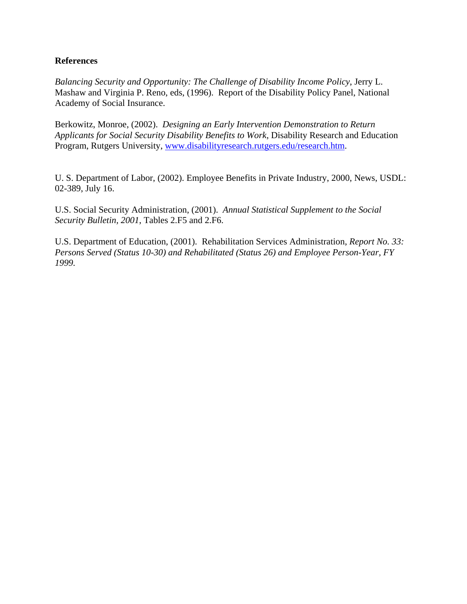## **References**

*Balancing Security and Opportunity: The Challenge of Disability Income Policy*, Jerry L. Mashaw and Virginia P. Reno, eds, (1996). Report of the Disability Policy Panel, National Academy of Social Insurance.

Berkowitz, Monroe, (2002). *Designing an Early Intervention Demonstration to Return Applicants for Social Security Disability Benefits to Work*, Disability Research and Education Program, Rutgers University, www.disabilityresearch.rutgers.edu/research.htm.

U. S. Department of Labor, (2002). Employee Benefits in Private Industry, 2000, News, USDL: 02-389, July 16.

U.S. Social Security Administration, (2001). *Annual Statistical Supplement to the Social Security Bulletin, 2001*, Tables 2.F5 and 2.F6.

U.S. Department of Education, (2001). Rehabilitation Services Administration, *Report No. 33: Persons Served (Status 10-30) and Rehabilitated (Status 26) and Employee Person-Year, FY 1999.*